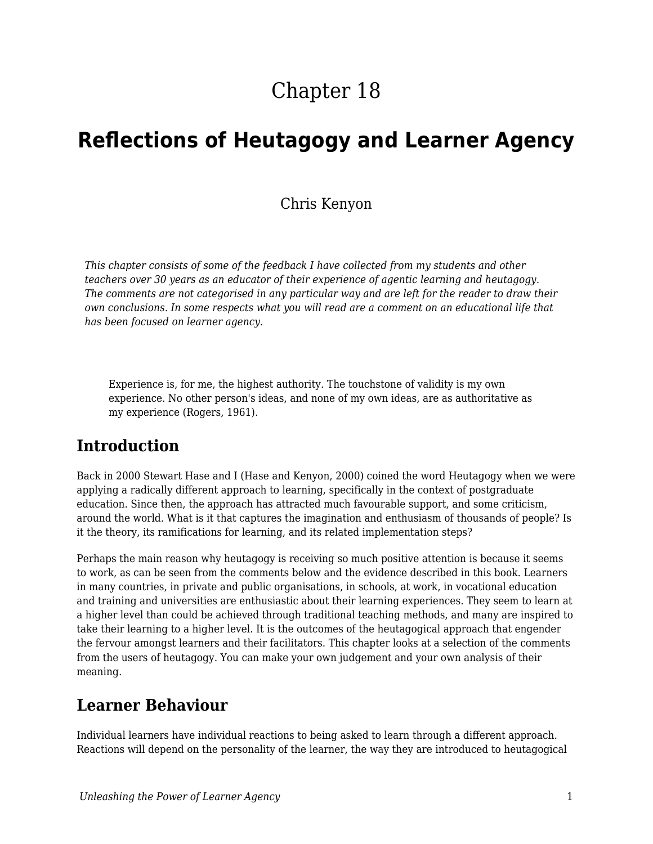# Chapter 18

# **Reflections of Heutagogy and Learner Agency**

#### Chris Kenyon

*This chapter consists of some of the feedback I have collected from my students and other teachers over 30 years as an educator of their experience of agentic learning and heutagogy. The comments are not categorised in any particular way and are left for the reader to draw their own conclusions. In some respects what you will read are a comment on an educational life that has been focused on learner agency.*

Experience is, for me, the highest authority. The touchstone of validity is my own experience. No other person's ideas, and none of my own ideas, are as authoritative as my experience (Rogers, 1961).

### **Introduction**

Back in 2000 Stewart Hase and I (Hase and Kenyon, 2000) coined the word Heutagogy when we were applying a radically different approach to learning, specifically in the context of postgraduate education. Since then, the approach has attracted much favourable support, and some criticism, around the world. What is it that captures the imagination and enthusiasm of thousands of people? Is it the theory, its ramifications for learning, and its related implementation steps?

Perhaps the main reason why heutagogy is receiving so much positive attention is because it seems to work, as can be seen from the comments below and the evidence described in this book. Learners in many countries, in private and public organisations, in schools, at work, in vocational education and training and universities are enthusiastic about their learning experiences. They seem to learn at a higher level than could be achieved through traditional teaching methods, and many are inspired to take their learning to a higher level. It is the outcomes of the heutagogical approach that engender the fervour amongst learners and their facilitators. This chapter looks at a selection of the comments from the users of heutagogy. You can make your own judgement and your own analysis of their meaning.

### **Learner Behaviour**

Individual learners have individual reactions to being asked to learn through a different approach. Reactions will depend on the personality of the learner, the way they are introduced to heutagogical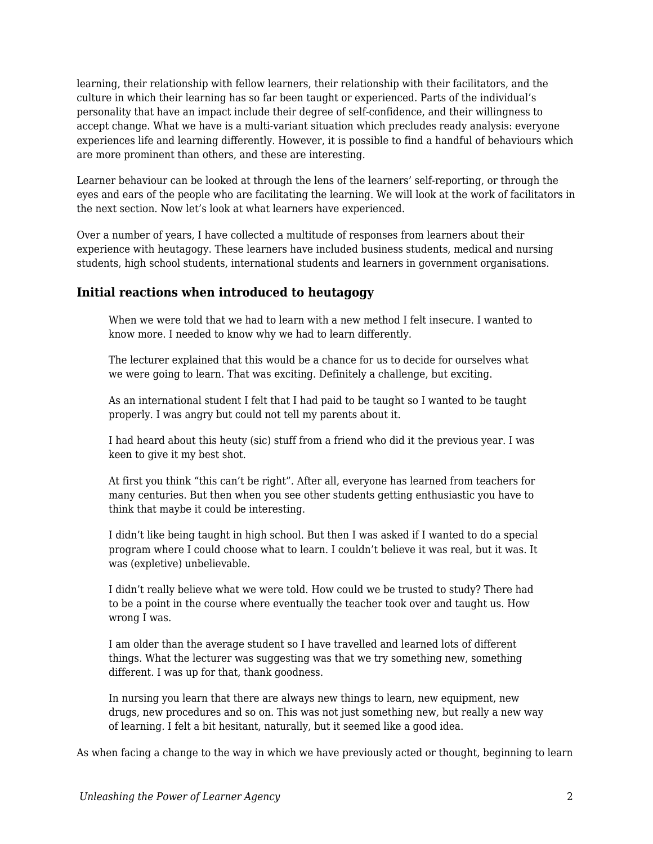learning, their relationship with fellow learners, their relationship with their facilitators, and the culture in which their learning has so far been taught or experienced. Parts of the individual's personality that have an impact include their degree of self-confidence, and their willingness to accept change. What we have is a multi-variant situation which precludes ready analysis: everyone experiences life and learning differently. However, it is possible to find a handful of behaviours which are more prominent than others, and these are interesting.

Learner behaviour can be looked at through the lens of the learners' self-reporting, or through the eyes and ears of the people who are facilitating the learning. We will look at the work of facilitators in the next section. Now let's look at what learners have experienced.

Over a number of years, I have collected a multitude of responses from learners about their experience with heutagogy. These learners have included business students, medical and nursing students, high school students, international students and learners in government organisations.

#### **Initial reactions when introduced to heutagogy**

When we were told that we had to learn with a new method I felt insecure. I wanted to know more. I needed to know why we had to learn differently.

The lecturer explained that this would be a chance for us to decide for ourselves what we were going to learn. That was exciting. Definitely a challenge, but exciting.

As an international student I felt that I had paid to be taught so I wanted to be taught properly. I was angry but could not tell my parents about it.

I had heard about this heuty (sic) stuff from a friend who did it the previous year. I was keen to give it my best shot.

At first you think "this can't be right". After all, everyone has learned from teachers for many centuries. But then when you see other students getting enthusiastic you have to think that maybe it could be interesting.

I didn't like being taught in high school. But then I was asked if I wanted to do a special program where I could choose what to learn. I couldn't believe it was real, but it was. It was (expletive) unbelievable.

I didn't really believe what we were told. How could we be trusted to study? There had to be a point in the course where eventually the teacher took over and taught us. How wrong I was.

I am older than the average student so I have travelled and learned lots of different things. What the lecturer was suggesting was that we try something new, something different. I was up for that, thank goodness.

In nursing you learn that there are always new things to learn, new equipment, new drugs, new procedures and so on. This was not just something new, but really a new way of learning. I felt a bit hesitant, naturally, but it seemed like a good idea.

As when facing a change to the way in which we have previously acted or thought, beginning to learn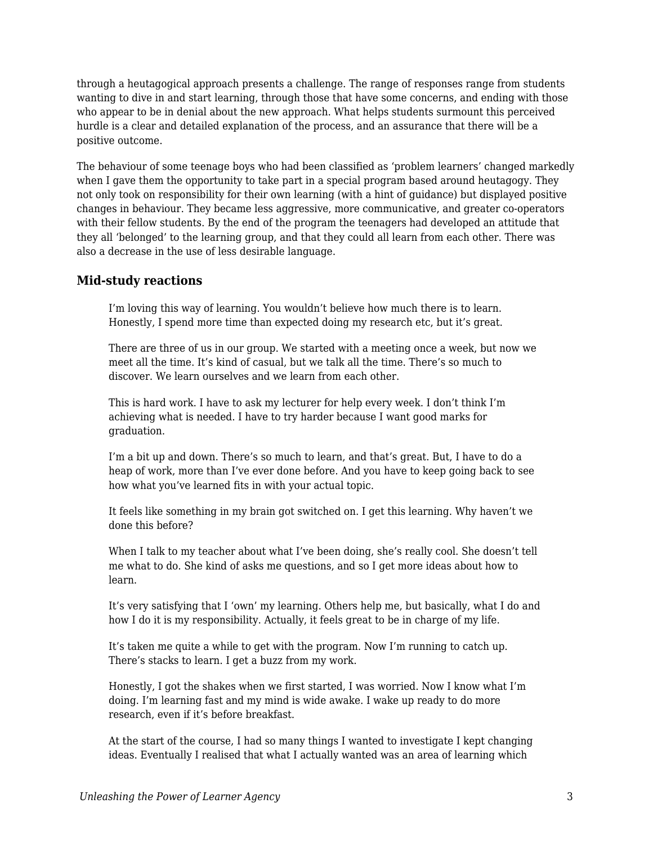through a heutagogical approach presents a challenge. The range of responses range from students wanting to dive in and start learning, through those that have some concerns, and ending with those who appear to be in denial about the new approach. What helps students surmount this perceived hurdle is a clear and detailed explanation of the process, and an assurance that there will be a positive outcome.

The behaviour of some teenage boys who had been classified as 'problem learners' changed markedly when I gave them the opportunity to take part in a special program based around heutagogy. They not only took on responsibility for their own learning (with a hint of guidance) but displayed positive changes in behaviour. They became less aggressive, more communicative, and greater co-operators with their fellow students. By the end of the program the teenagers had developed an attitude that they all 'belonged' to the learning group, and that they could all learn from each other. There was also a decrease in the use of less desirable language.

#### **Mid-study reactions**

I'm loving this way of learning. You wouldn't believe how much there is to learn. Honestly, I spend more time than expected doing my research etc, but it's great.

There are three of us in our group. We started with a meeting once a week, but now we meet all the time. It's kind of casual, but we talk all the time. There's so much to discover. We learn ourselves and we learn from each other.

This is hard work. I have to ask my lecturer for help every week. I don't think I'm achieving what is needed. I have to try harder because I want good marks for graduation.

I'm a bit up and down. There's so much to learn, and that's great. But, I have to do a heap of work, more than I've ever done before. And you have to keep going back to see how what you've learned fits in with your actual topic.

It feels like something in my brain got switched on. I get this learning. Why haven't we done this before?

When I talk to my teacher about what I've been doing, she's really cool. She doesn't tell me what to do. She kind of asks me questions, and so I get more ideas about how to learn.

It's very satisfying that I 'own' my learning. Others help me, but basically, what I do and how I do it is my responsibility. Actually, it feels great to be in charge of my life.

It's taken me quite a while to get with the program. Now I'm running to catch up. There's stacks to learn. I get a buzz from my work.

Honestly, I got the shakes when we first started, I was worried. Now I know what I'm doing. I'm learning fast and my mind is wide awake. I wake up ready to do more research, even if it's before breakfast.

At the start of the course, I had so many things I wanted to investigate I kept changing ideas. Eventually I realised that what I actually wanted was an area of learning which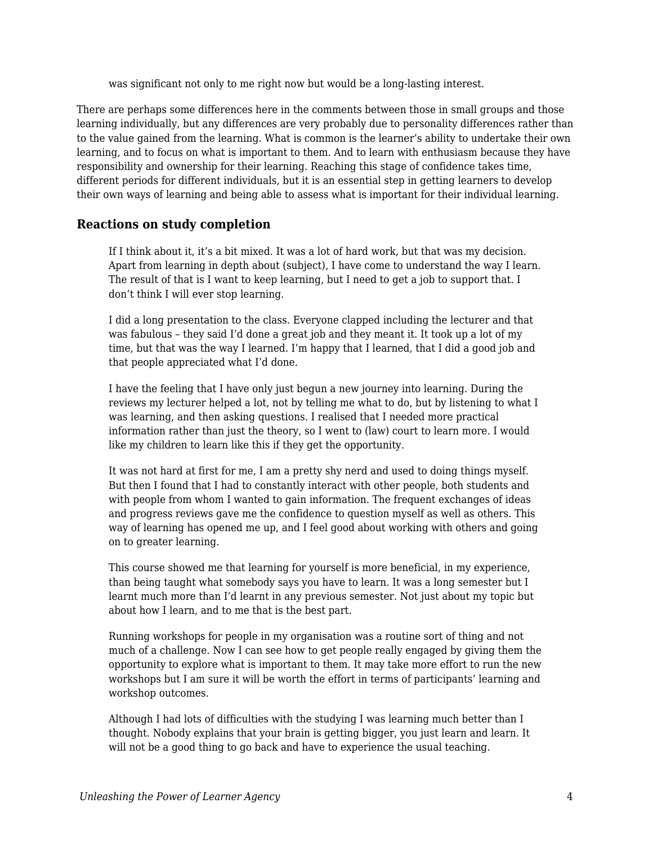was significant not only to me right now but would be a long-lasting interest.

There are perhaps some differences here in the comments between those in small groups and those learning individually, but any differences are very probably due to personality differences rather than to the value gained from the learning. What is common is the learner's ability to undertake their own learning, and to focus on what is important to them. And to learn with enthusiasm because they have responsibility and ownership for their learning. Reaching this stage of confidence takes time, different periods for different individuals, but it is an essential step in getting learners to develop their own ways of learning and being able to assess what is important for their individual learning.

#### **Reactions on study completion**

If I think about it, it's a bit mixed. It was a lot of hard work, but that was my decision. Apart from learning in depth about (subject), I have come to understand the way I learn. The result of that is I want to keep learning, but I need to get a job to support that. I don't think I will ever stop learning.

I did a long presentation to the class. Everyone clapped including the lecturer and that was fabulous – they said I'd done a great job and they meant it. It took up a lot of my time, but that was the way I learned. I'm happy that I learned, that I did a good job and that people appreciated what I'd done.

I have the feeling that I have only just begun a new journey into learning. During the reviews my lecturer helped a lot, not by telling me what to do, but by listening to what I was learning, and then asking questions. I realised that I needed more practical information rather than just the theory, so I went to (law) court to learn more. I would like my children to learn like this if they get the opportunity.

It was not hard at first for me, I am a pretty shy nerd and used to doing things myself. But then I found that I had to constantly interact with other people, both students and with people from whom I wanted to gain information. The frequent exchanges of ideas and progress reviews gave me the confidence to question myself as well as others. This way of learning has opened me up, and I feel good about working with others and going on to greater learning.

This course showed me that learning for yourself is more beneficial, in my experience, than being taught what somebody says you have to learn. It was a long semester but I learnt much more than I'd learnt in any previous semester. Not just about my topic but about how I learn, and to me that is the best part.

Running workshops for people in my organisation was a routine sort of thing and not much of a challenge. Now I can see how to get people really engaged by giving them the opportunity to explore what is important to them. It may take more effort to run the new workshops but I am sure it will be worth the effort in terms of participants' learning and workshop outcomes.

Although I had lots of difficulties with the studying I was learning much better than I thought. Nobody explains that your brain is getting bigger, you just learn and learn. It will not be a good thing to go back and have to experience the usual teaching.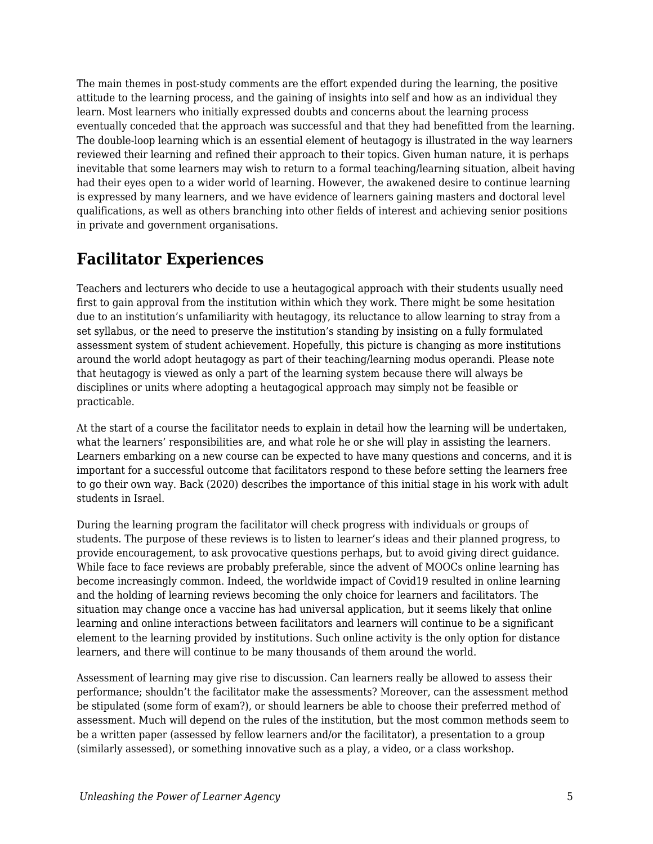The main themes in post-study comments are the effort expended during the learning, the positive attitude to the learning process, and the gaining of insights into self and how as an individual they learn. Most learners who initially expressed doubts and concerns about the learning process eventually conceded that the approach was successful and that they had benefitted from the learning. The double-loop learning which is an essential element of heutagogy is illustrated in the way learners reviewed their learning and refined their approach to their topics. Given human nature, it is perhaps inevitable that some learners may wish to return to a formal teaching/learning situation, albeit having had their eyes open to a wider world of learning. However, the awakened desire to continue learning is expressed by many learners, and we have evidence of learners gaining masters and doctoral level qualifications, as well as others branching into other fields of interest and achieving senior positions in private and government organisations.

## **Facilitator Experiences**

Teachers and lecturers who decide to use a heutagogical approach with their students usually need first to gain approval from the institution within which they work. There might be some hesitation due to an institution's unfamiliarity with heutagogy, its reluctance to allow learning to stray from a set syllabus, or the need to preserve the institution's standing by insisting on a fully formulated assessment system of student achievement. Hopefully, this picture is changing as more institutions around the world adopt heutagogy as part of their teaching/learning modus operandi. Please note that heutagogy is viewed as only a part of the learning system because there will always be disciplines or units where adopting a heutagogical approach may simply not be feasible or practicable.

At the start of a course the facilitator needs to explain in detail how the learning will be undertaken, what the learners' responsibilities are, and what role he or she will play in assisting the learners. Learners embarking on a new course can be expected to have many questions and concerns, and it is important for a successful outcome that facilitators respond to these before setting the learners free to go their own way. Back (2020) describes the importance of this initial stage in his work with adult students in Israel.

During the learning program the facilitator will check progress with individuals or groups of students. The purpose of these reviews is to listen to learner's ideas and their planned progress, to provide encouragement, to ask provocative questions perhaps, but to avoid giving direct guidance. While face to face reviews are probably preferable, since the advent of MOOCs online learning has become increasingly common. Indeed, the worldwide impact of Covid19 resulted in online learning and the holding of learning reviews becoming the only choice for learners and facilitators. The situation may change once a vaccine has had universal application, but it seems likely that online learning and online interactions between facilitators and learners will continue to be a significant element to the learning provided by institutions. Such online activity is the only option for distance learners, and there will continue to be many thousands of them around the world.

Assessment of learning may give rise to discussion. Can learners really be allowed to assess their performance; shouldn't the facilitator make the assessments? Moreover, can the assessment method be stipulated (some form of exam?), or should learners be able to choose their preferred method of assessment. Much will depend on the rules of the institution, but the most common methods seem to be a written paper (assessed by fellow learners and/or the facilitator), a presentation to a group (similarly assessed), or something innovative such as a play, a video, or a class workshop.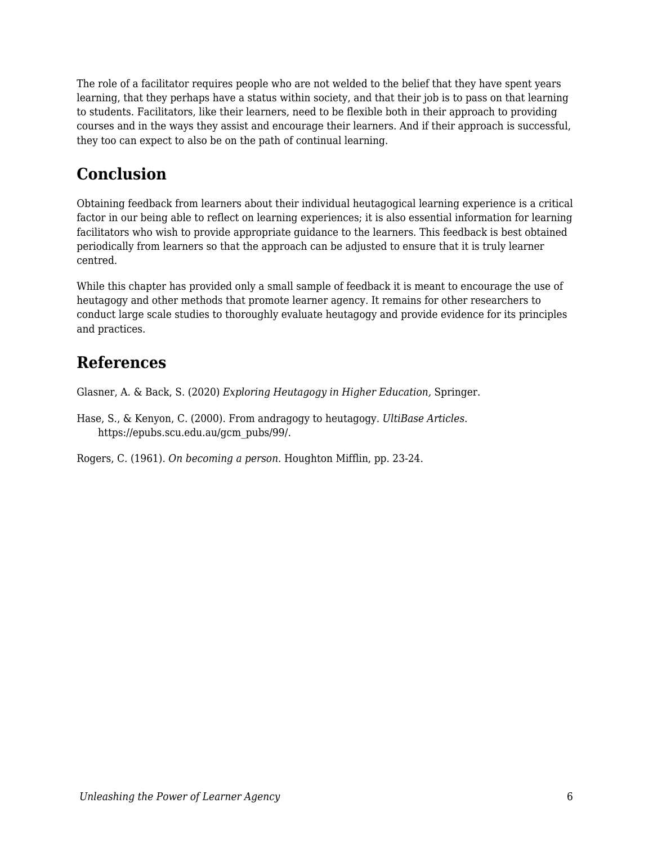The role of a facilitator requires people who are not welded to the belief that they have spent years learning, that they perhaps have a status within society, and that their job is to pass on that learning to students. Facilitators, like their learners, need to be flexible both in their approach to providing courses and in the ways they assist and encourage their learners. And if their approach is successful, they too can expect to also be on the path of continual learning.

## **Conclusion**

Obtaining feedback from learners about their individual heutagogical learning experience is a critical factor in our being able to reflect on learning experiences; it is also essential information for learning facilitators who wish to provide appropriate guidance to the learners. This feedback is best obtained periodically from learners so that the approach can be adjusted to ensure that it is truly learner centred.

While this chapter has provided only a small sample of feedback it is meant to encourage the use of heutagogy and other methods that promote learner agency. It remains for other researchers to conduct large scale studies to thoroughly evaluate heutagogy and provide evidence for its principles and practices.

## **References**

Glasner, A. & Back, S. (2020) *Exploring Heutagogy in Higher Education,* Springer.

Hase, S., & Kenyon, C. (2000). From andragogy to heutagogy. *UltiBase Articles*. https://epubs.scu.edu.au/gcm\_pubs/99/.

Rogers, C. (1961). *On becoming a person.* Houghton Mifflin, pp. 23-24.